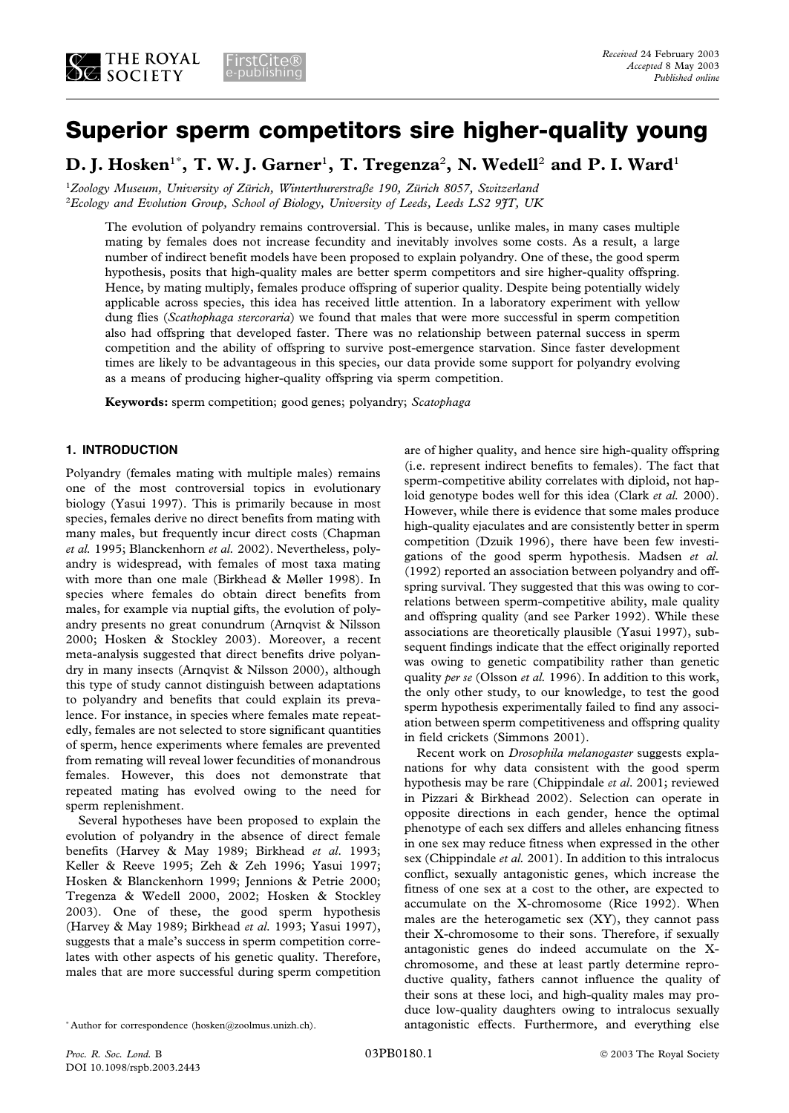# **Superior sperm competitors sire higher-quality young**

**D. J. Hosken**<sup>1</sup>\* **, T. W. J. Garner**<sup>1</sup> **, T. Tregenza**<sup>2</sup> **, N. Wedell**<sup>2</sup> **and P. I. Ward**<sup>1</sup>

<sup>1</sup>Zoology Museum, University of Zürich, Winterthurerstraße 190, Zürich 8057, Switzerland 2 *Ecology and Evolution Group, School of Biology, University of Leeds, Leeds LS2 9JT, UK*

The evolution of polyandry remains controversial. This is because, unlike males, in many cases multiple mating by females does not increase fecundity and inevitably involves some costs. As a result, a large number of indirect benefit models have been proposed to explain polyandry. One of these, the good sperm hypothesis, posits that high-quality males are better sperm competitors and sire higher-quality offspring. Hence, by mating multiply, females produce offspring of superior quality. Despite being potentially widely applicable across species, this idea has received little attention. In a laboratory experiment with yellow dung flies (*Scathophaga stercoraria*) we found that males that were more successful in sperm competition also had offspring that developed faster. There was no relationship between paternal success in sperm competition and the ability of offspring to survive post-emergence starvation. Since faster development times are likely to be advantageous in this species, our data provide some support for polyandry evolving as a means of producing higher-quality offspring via sperm competition.

**Keywords:** sperm competition; good genes; polyandry; *Scatophaga*

## **1. INTRODUCTION**

Polyandry (females mating with multiple males) remains one of the most controversial topics in evolutionary biology (Yasui 1997). This is primarily because in most species, females derive no direct benefits from mating with many males, but frequently incur direct costs (Chapman *et al.* 1995; Blanckenhorn *et al.* 2002). Nevertheless, polyandry is widespread, with females of most taxa mating with more than one male (Birkhead & Møller 1998). In species where females do obtain direct benefits from males, for example via nuptial gifts, the evolution of polyandry presents no great conundrum (Arnqvist & Nilsson 2000; Hosken & Stockley 2003). Moreover, a recent meta-analysis suggested that direct benefits drive polyandry in many insects (Arnqvist & Nilsson 2000), although this type of study cannot distinguish between adaptations to polyandry and benefits that could explain its prevalence. For instance, in species where females mate repeatedly, females are not selected to store significant quantities of sperm, hence experiments where females are prevented from remating will reveal lower fecundities of monandrous females. However, this does not demonstrate that repeated mating has evolved owing to the need for sperm replenishment.

Several hypotheses have been proposed to explain the evolution of polyandry in the absence of direct female benefits (Harvey & May 1989; Birkhead *et al*. 1993; Keller & Reeve 1995; Zeh & Zeh 1996; Yasui 1997; Hosken & Blanckenhorn 1999; Jennions & Petrie 2000; Tregenza & Wedell 2000, 2002; Hosken & Stockley 2003). One of these, the good sperm hypothesis (Harvey & May 1989; Birkhead *et al.* 1993; Yasui 1997), suggests that a male's success in sperm competition correlates with other aspects of his genetic quality. Therefore, males that are more successful during sperm competition

are of higher quality, and hence sire high-quality offspring (i.e. represent indirect benefits to females). The fact that sperm-competitive ability correlates with diploid, not haploid genotype bodes well for this idea (Clark *et al.* 2000). However, while there is evidence that some males produce high-quality ejaculates and are consistently better in sperm competition (Dzuik 1996), there have been few investigations of the good sperm hypothesis. Madsen *et al.* (1992) reported an association between polyandry and offspring survival. They suggested that this was owing to correlations between sperm-competitive ability, male quality and offspring quality (and see Parker 1992). While these associations are theoretically plausible (Yasui 1997), subsequent findings indicate that the effect originally reported was owing to genetic compatibility rather than genetic quality *per se* (Olsson *et al.* 1996). In addition to this work, the only other study, to our knowledge, to test the good sperm hypothesis experimentally failed to find any association between sperm competitiveness and offspring quality in field crickets (Simmons 2001).

Recent work on *Drosophila melanogaster* suggests explanations for why data consistent with the good sperm hypothesis may be rare (Chippindale *et al*. 2001; reviewed in Pizzari & Birkhead 2002). Selection can operate in opposite directions in each gender, hence the optimal phenotype of each sex differs and alleles enhancing fitness in one sex may reduce fitness when expressed in the other sex (Chippindale *et al.* 2001). In addition to this intralocus conflict, sexually antagonistic genes, which increase the fitness of one sex at a cost to the other, are expected to accumulate on the X-chromosome (Rice 1992). When males are the heterogametic sex (XY), they cannot pass their X-chromosome to their sons. Therefore, if sexually antagonistic genes do indeed accumulate on the Xchromosome, and these at least partly determine reproductive quality, fathers cannot influence the quality of their sons at these loci, and high-quality males may produce low-quality daughters owing to intralocus sexually antagonistic effects. Furthermore, and everything else

<sup>\*</sup> Author for correspondence (hosken@zoolmus.unizh.ch).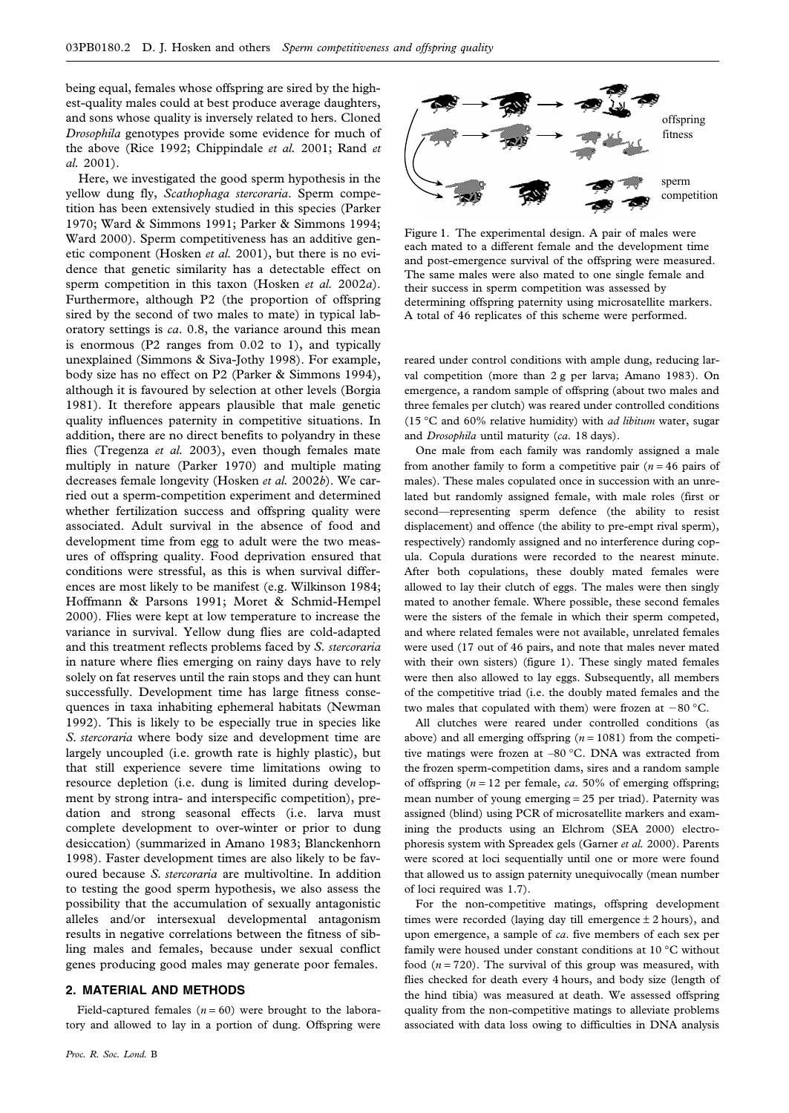being equal, females whose offspring are sired by the highest-quality males could at best produce average daughters, and sons whose quality is inversely related to hers. Cloned *Drosophila* genotypes provide some evidence for much of the above (Rice 1992; Chippindale *et al.* 2001; Rand *et al.* 2001).

Here, we investigated the good sperm hypothesis in the yellow dung fly, *Scathophaga stercoraria*. Sperm competition has been extensively studied in this species (Parker 1970; Ward & Simmons 1991; Parker & Simmons 1994; Ward 2000). Sperm competitiveness has an additive genetic component (Hosken *et al.* 2001), but there is no evidence that genetic similarity has a detectable effect on sperm competition in this taxon (Hosken *et al.* 2002*a*). Furthermore, although P2 (the proportion of offspring sired by the second of two males to mate) in typical laboratory settings is *ca*. 0.8, the variance around this mean is enormous (P2 ranges from 0.02 to 1), and typically unexplained (Simmons & Siva-Jothy 1998). For example, body size has no effect on P2 (Parker & Simmons 1994), although it is favoured by selection at other levels (Borgia 1981). It therefore appears plausible that male genetic quality influences paternity in competitive situations. In addition, there are no direct benefits to polyandry in these flies (Tregenza *et al.* 2003), even though females mate multiply in nature (Parker 1970) and multiple mating decreases female longevity (Hosken *et al.* 2002*b*). We carried out a sperm-competition experiment and determined whether fertilization success and offspring quality were associated. Adult survival in the absence of food and development time from egg to adult were the two measures of offspring quality. Food deprivation ensured that conditions were stressful, as this is when survival differences are most likely to be manifest (e.g. Wilkinson 1984; Hoffmann & Parsons 1991; Moret & Schmid-Hempel 2000). Flies were kept at low temperature to increase the variance in survival. Yellow dung flies are cold-adapted and this treatment reflects problems faced by *S. stercoraria* in nature where flies emerging on rainy days have to rely solely on fat reserves until the rain stops and they can hunt successfully. Development time has large fitness consequences in taxa inhabiting ephemeral habitats (Newman 1992). This is likely to be especially true in species like *S. stercoraria* where body size and development time are largely uncoupled (i.e. growth rate is highly plastic), but that still experience severe time limitations owing to resource depletion (i.e. dung is limited during development by strong intra- and interspecific competition), predation and strong seasonal effects (i.e. larva must complete development to over-winter or prior to dung desiccation) (summarized in Amano 1983; Blanckenhorn 1998). Faster development times are also likely to be favoured because *S. stercoraria* are multivoltine. In addition to testing the good sperm hypothesis, we also assess the possibility that the accumulation of sexually antagonistic alleles and/or intersexual developmental antagonism results in negative correlations between the fitness of sibling males and females, because under sexual conflict genes producing good males may generate poor females.

#### **2. MATERIAL AND METHODS**

Field-captured females  $(n = 60)$  were brought to the laboratory and allowed to lay in a portion of dung. Offspring were



Figure 1. The experimental design. A pair of males were each mated to a different female and the development time and post-emergence survival of the offspring were measured. The same males were also mated to one single female and their success in sperm competition was assessed by determining offspring paternity using microsatellite markers. A total of 46 replicates of this scheme were performed.

reared under control conditions with ample dung, reducing larval competition (more than 2 g per larva; Amano 1983). On emergence, a random sample of offspring (about two males and three females per clutch) was reared under controlled conditions (15 °C and 60% relative humidity) with *ad libitum* water, sugar and *Drosophila* until maturity (*ca*. 18 days).

One male from each family was randomly assigned a male from another family to form a competitive pair  $(n = 46)$  pairs of males). These males copulated once in succession with an unrelated but randomly assigned female, with male roles (first or second—representing sperm defence (the ability to resist displacement) and offence (the ability to pre-empt rival sperm), respectively) randomly assigned and no interference during copula. Copula durations were recorded to the nearest minute. After both copulations, these doubly mated females were allowed to lay their clutch of eggs. The males were then singly mated to another female. Where possible, these second females were the sisters of the female in which their sperm competed, and where related females were not available, unrelated females were used (17 out of 46 pairs, and note that males never mated with their own sisters) (figure 1). These singly mated females were then also allowed to lay eggs. Subsequently, all members of the competitive triad (i.e. the doubly mated females and the two males that copulated with them) were frozen at  $-80$  °C.

All clutches were reared under controlled conditions (as above) and all emerging offspring (*n* = 1081) from the competitive matings were frozen at –80 °C. DNA was extracted from the frozen sperm-competition dams, sires and a random sample of offspring (*n* = 12 per female, *ca*. 50% of emerging offspring; mean number of young emerging = 25 per triad). Paternity was assigned (blind) using PCR of microsatellite markers and examining the products using an Elchrom (SEA 2000) electrophoresis system with Spreadex gels (Garner *et al.* 2000). Parents were scored at loci sequentially until one or more were found that allowed us to assign paternity unequivocally (mean number of loci required was 1.7).

For the non-competitive matings, offspring development times were recorded (laying day till emergence  $\pm$  2 hours), and upon emergence, a sample of *ca*. five members of each sex per family were housed under constant conditions at 10 °C without food  $(n = 720)$ . The survival of this group was measured, with flies checked for death every 4 hours, and body size (length of the hind tibia) was measured at death. We assessed offspring quality from the non-competitive matings to alleviate problems associated with data loss owing to difficulties in DNA analysis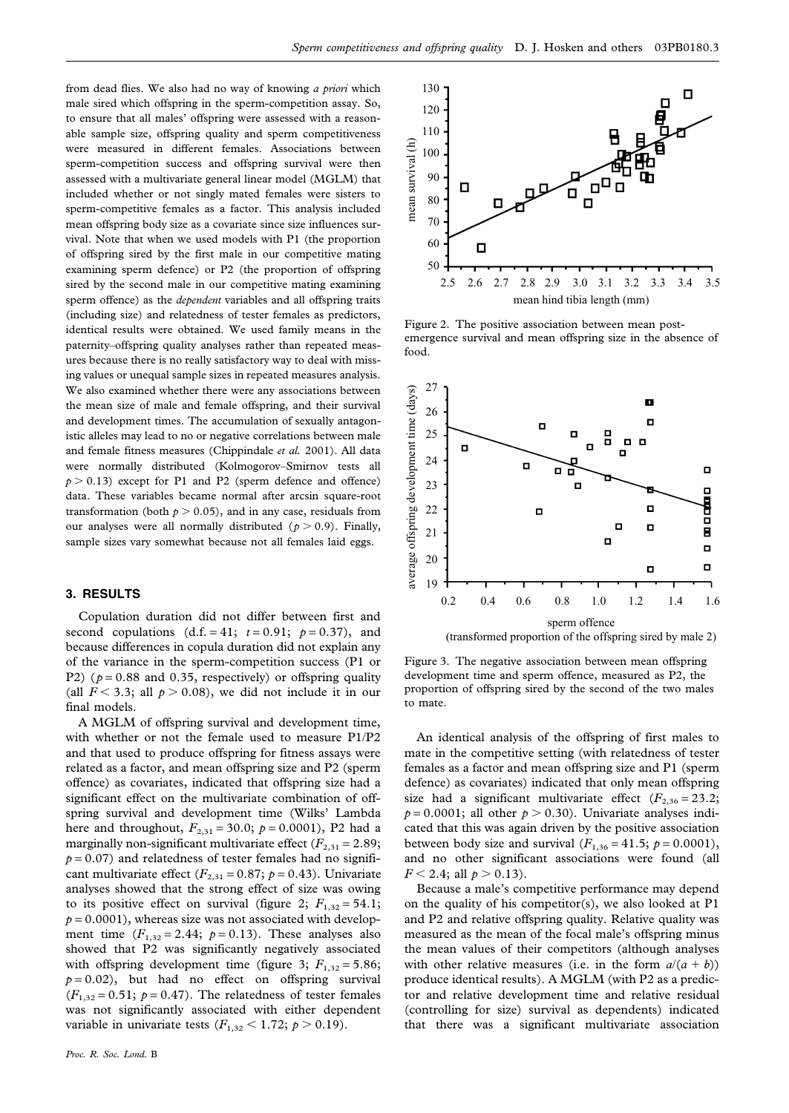from dead flies. We also had no way of knowing *a priori* which male sired which offspring in the sperm-competition assay. So, to ensure that all males' offspring were assessed with a reasonable sample size, offspring quality and sperm competitiveness were measured in different females. Associations between sperm-competition success and offspring survival were then assessed with a multivariate general linear model (MGLM) that included whether or not singly mated females were sisters to sperm-competitive females as a factor. This analysis included mean offspring body size as a covariate since size influences survival. Note that when we used models with P1 (the proportion of offspring sired by the first male in our competitive mating examining sperm defence) or P2 (the proportion of offspring sired by the second male in our competitive mating examining sperm offence) as the *dependent* variables and all offspring traits (including size) and relatedness of tester females as predictors, identical results were obtained. We used family means in the paternity–offspring quality analyses rather than repeated measures because there is no really satisfactory way to deal with missing values or unequal sample sizes in repeated measures analysis. We also examined whether there were any associations between the mean size of male and female offspring, and their survival and development times. The accumulation of sexually antagonistic alleles may lead to no or negative correlations between male and female fitness measures (Chippindale *et al.* 2001). All data were normally distributed (Kolmogorov–Smirnov tests all  $p > 0.13$ ) except for P1 and P2 (sperm defence and offence) data. These variables became normal after arcsin square-root transformation (both  $p > 0.05$ ), and in any case, residuals from our analyses were all normally distributed  $(p > 0.9)$ . Finally, sample sizes vary somewhat because not all females laid eggs.

### **3. RESULTS**

Copulation duration did not differ between first and second copulations  $(d.f. = 41; t = 0.91; p = 0.37)$ , and because differences in copula duration did not explain any of the variance in the sperm-competition success (P1 or P2) ( $p = 0.88$  and 0.35, respectively) or offspring quality (all  $F < 3.3$ ; all  $p > 0.08$ ), we did not include it in our final models.

A MGLM of offspring survival and development time, with whether or not the female used to measure P1/P2 and that used to produce offspring for fitness assays were related as a factor, and mean offspring size and P2 (sperm offence) as covariates, indicated that offspring size had a significant effect on the multivariate combination of offspring survival and development time (Wilks' Lambda here and throughout,  $F_{2,31} = 30.0; p = 0.0001$ , P2 had a marginally non-significant multivariate effect  $(F_{2,31} = 2.89;$  $p = 0.07$ ) and relatedness of tester females had no significant multivariate effect  $(F_{2,31} = 0.87; p = 0.43)$ . Univariate analyses showed that the strong effect of size was owing to its positive effect on survival (figure 2;  $F_{1,32} = 54.1$ ;  $p = 0.0001$ , whereas size was not associated with development time  $(F_{1,32} = 2.44; p = 0.13)$ . These analyses also showed that P2 was significantly negatively associated with offspring development time (figure 3;  $F_{1,32} = 5.86$ ;  $p = 0.02$ ), but had no effect on offspring survival  $(F_{1,32} = 0.51; p = 0.47)$ . The relatedness of tester females was not significantly associated with either dependent variable in univariate tests  $(F_{1,32} < 1.72; p > 0.19)$ .



Figure 2. The positive association between mean postemergence survival and mean offspring size in the absence of food.



Figure 3. The negative association between mean offspring development time and sperm offence, measured as P2, the proportion of offspring sired by the second of the two males to mate.

An identical analysis of the offspring of first males to mate in the competitive setting (with relatedness of tester females as a factor and mean offspring size and P1 (sperm defence) as covariates) indicated that only mean offspring size had a significant multivariate effect  $(F_{2,36} = 23.2;$  $p = 0.0001$ ; all other  $p > 0.30$ ). Univariate analyses indicated that this was again driven by the positive association between body size and survival  $(F_{1,36} = 41.5; p = 0.0001)$ , and no other significant associations were found (all  $F < 2.4$ ; all  $p > 0.13$ ).

Because a male's competitive performance may depend on the quality of his competitor(s), we also looked at P1 and P2 and relative offspring quality. Relative quality was measured as the mean of the focal male's offspring minus the mean values of their competitors (although analyses with other relative measures (i.e. in the form  $a/(a + b)$ ) produce identical results). A MGLM (with P2 as a predictor and relative development time and relative residual (controlling for size) survival as dependents) indicated that there was a significant multivariate association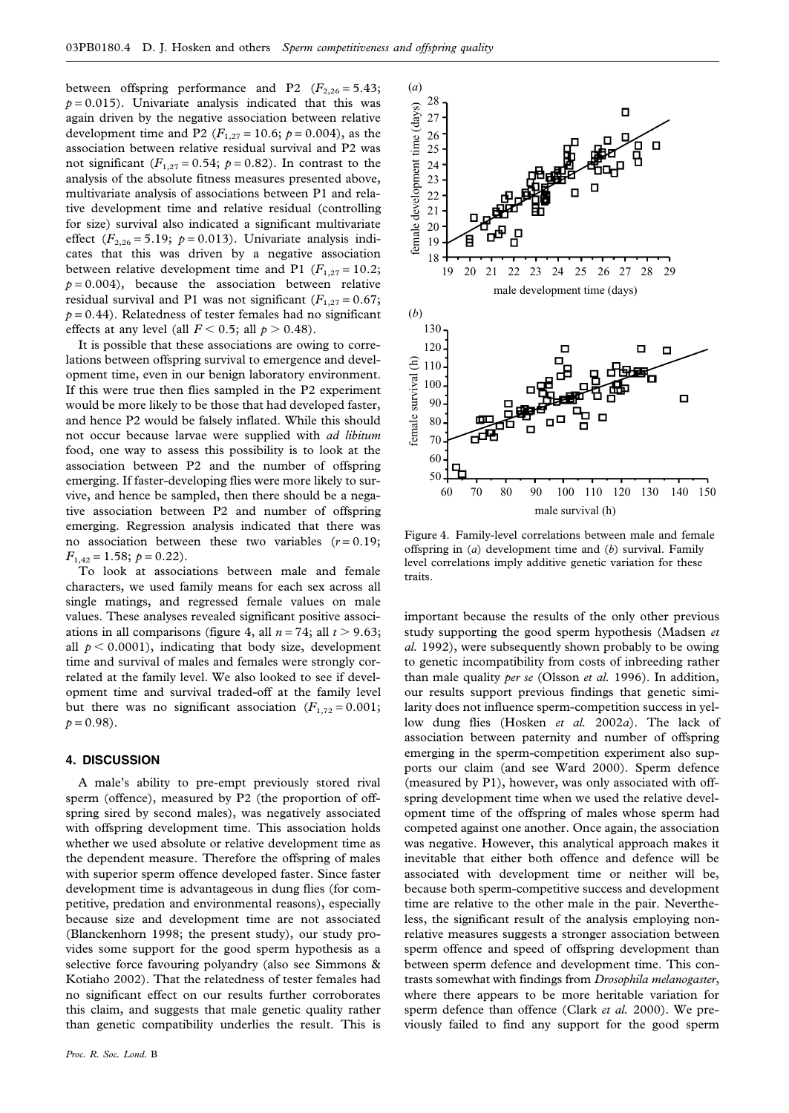between offspring performance and P2  $(F_{2,26} = 5.43;$  $p = 0.015$ ). Univariate analysis indicated that this was again driven by the negative association between relative development time and P2 ( $F_{1,27} = 10.6$ ;  $p = 0.004$ ), as the association between relative residual survival and P2 was not significant  $(F_{1,27} = 0.54; p = 0.82)$ . In contrast to the analysis of the absolute fitness measures presented above, multivariate analysis of associations between P1 and relative development time and relative residual (controlling for size) survival also indicated a significant multivariate effect  $(F_{2,26} = 5.19; p = 0.013)$ . Univariate analysis indicates that this was driven by a negative association between relative development time and P1 ( $F_{1,27} = 10.2$ ;  $p = 0.004$ , because the association between relative residual survival and P1 was not significant  $(F_{1,27} = 0.67;$  $p = 0.44$ ). Relatedness of tester females had no significant effects at any level (all  $F < 0.5$ ; all  $p > 0.48$ ).

It is possible that these associations are owing to correlations between offspring survival to emergence and development time, even in our benign laboratory environment. If this were true then flies sampled in the P2 experiment would be more likely to be those that had developed faster, and hence P2 would be falsely inflated. While this should not occur because larvae were supplied with *ad libitum* food, one way to assess this possibility is to look at the association between P2 and the number of offspring emerging. If faster-developing flies were more likely to survive, and hence be sampled, then there should be a negative association between P2 and number of offspring emerging. Regression analysis indicated that there was no association between these two variables  $(r = 0.19)$ ;  $F_{1,42} = 1.58; p = 0.22$ .

To look at associations between male and female characters, we used family means for each sex across all single matings, and regressed female values on male values. These analyses revealed significant positive associations in all comparisons (figure 4, all  $n = 74$ ; all  $t > 9.63$ ; all  $p < 0.0001$ ), indicating that body size, development time and survival of males and females were strongly correlated at the family level. We also looked to see if development time and survival traded-off at the family level but there was no significant association  $(F_{1,72} = 0.001;$  $p = 0.98$ ).

#### **4. DISCUSSION**

A male's ability to pre-empt previously stored rival sperm (offence), measured by P2 (the proportion of offspring sired by second males), was negatively associated with offspring development time. This association holds whether we used absolute or relative development time as the dependent measure. Therefore the offspring of males with superior sperm offence developed faster. Since faster development time is advantageous in dung flies (for competitive, predation and environmental reasons), especially because size and development time are not associated (Blanckenhorn 1998; the present study), our study provides some support for the good sperm hypothesis as a selective force favouring polyandry (also see Simmons & Kotiaho 2002). That the relatedness of tester females had no significant effect on our results further corroborates this claim, and suggests that male genetic quality rather than genetic compatibility underlies the result. This is



Figure 4. Family-level correlations between male and female offspring in (*a*) development time and (*b*) survival. Family level correlations imply additive genetic variation for these traits.

important because the results of the only other previous study supporting the good sperm hypothesis (Madsen *et al.* 1992), were subsequently shown probably to be owing to genetic incompatibility from costs of inbreeding rather than male quality *per se* (Olsson *et al.* 1996). In addition, our results support previous findings that genetic similarity does not influence sperm-competition success in yellow dung flies (Hosken *et al.* 2002*a*). The lack of association between paternity and number of offspring emerging in the sperm-competition experiment also supports our claim (and see Ward 2000). Sperm defence (measured by P1), however, was only associated with offspring development time when we used the relative development time of the offspring of males whose sperm had competed against one another. Once again, the association was negative. However, this analytical approach makes it inevitable that either both offence and defence will be associated with development time or neither will be, because both sperm-competitive success and development time are relative to the other male in the pair. Nevertheless, the significant result of the analysis employing nonrelative measures suggests a stronger association between sperm offence and speed of offspring development than between sperm defence and development time. This contrasts somewhat with findings from *Drosophila melanogaster*, where there appears to be more heritable variation for sperm defence than offence (Clark *et al.* 2000). We previously failed to find any support for the good sperm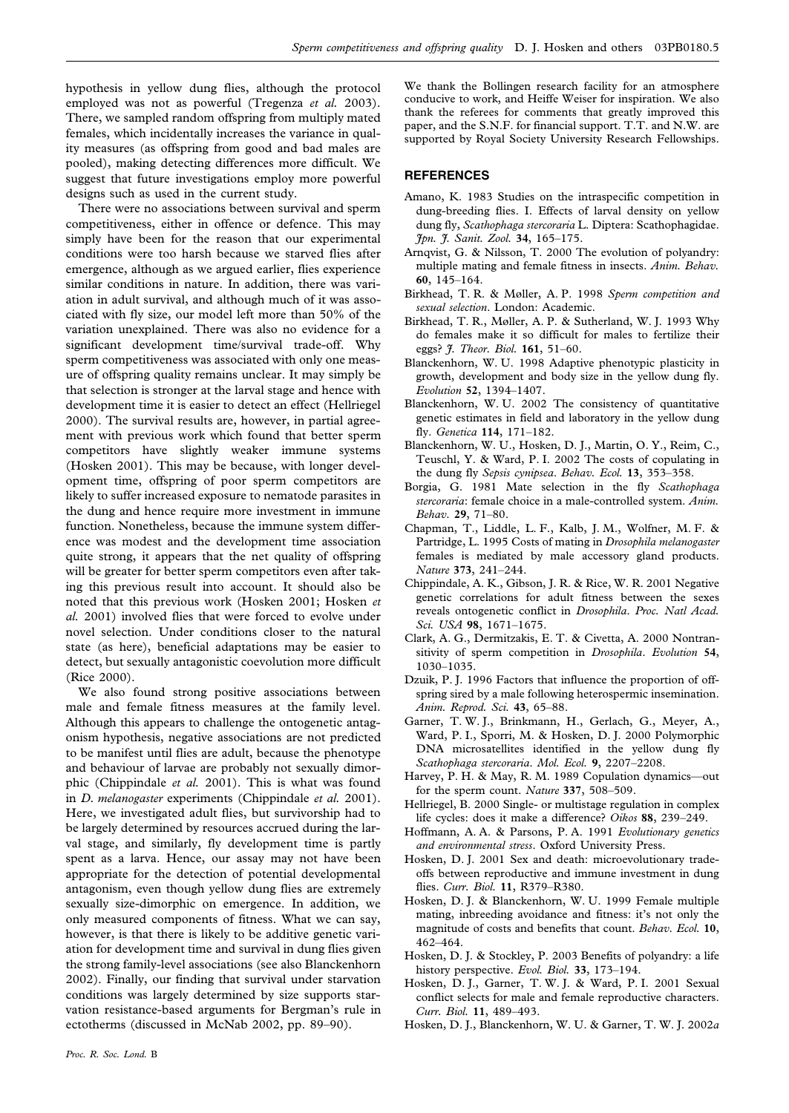hypothesis in yellow dung flies, although the protocol employed was not as powerful (Tregenza *et al.* 2003). There, we sampled random offspring from multiply mated females, which incidentally increases the variance in quality measures (as offspring from good and bad males are pooled), making detecting differences more difficult. We suggest that future investigations employ more powerful designs such as used in the current study.

There were no associations between survival and sperm competitiveness, either in offence or defence. This may simply have been for the reason that our experimental conditions were too harsh because we starved flies after emergence, although as we argued earlier, flies experience similar conditions in nature. In addition, there was variation in adult survival, and although much of it was associated with fly size, our model left more than 50% of the variation unexplained. There was also no evidence for a significant development time/survival trade-off. Why sperm competitiveness was associated with only one measure of offspring quality remains unclear. It may simply be that selection is stronger at the larval stage and hence with development time it is easier to detect an effect (Hellriegel 2000). The survival results are, however, in partial agreement with previous work which found that better sperm competitors have slightly weaker immune systems (Hosken 2001). This may be because, with longer development time, offspring of poor sperm competitors are likely to suffer increased exposure to nematode parasites in the dung and hence require more investment in immune function. Nonetheless, because the immune system difference was modest and the development time association quite strong, it appears that the net quality of offspring will be greater for better sperm competitors even after taking this previous result into account. It should also be noted that this previous work (Hosken 2001; Hosken *et al.* 2001) involved flies that were forced to evolve under novel selection. Under conditions closer to the natural state (as here), beneficial adaptations may be easier to detect, but sexually antagonistic coevolution more difficult (Rice 2000).

We also found strong positive associations between male and female fitness measures at the family level. Although this appears to challenge the ontogenetic antagonism hypothesis, negative associations are not predicted to be manifest until flies are adult, because the phenotype and behaviour of larvae are probably not sexually dimorphic (Chippindale *et al.* 2001). This is what was found in *D. melanogaster* experiments (Chippindale *et al.* 2001). Here, we investigated adult flies, but survivorship had to be largely determined by resources accrued during the larval stage, and similarly, fly development time is partly spent as a larva. Hence, our assay may not have been appropriate for the detection of potential developmental antagonism, even though yellow dung flies are extremely sexually size-dimorphic on emergence. In addition, we only measured components of fitness. What we can say, however, is that there is likely to be additive genetic variation for development time and survival in dung flies given the strong family-level associations (see also Blanckenhorn 2002). Finally, our finding that survival under starvation conditions was largely determined by size supports starvation resistance-based arguments for Bergman's rule in ectotherms (discussed in McNab 2002, pp. 89–90).

We thank the Bollingen research facility for an atmosphere conducive to work, and Heiffe Weiser for inspiration. We also thank the referees for comments that greatly improved this paper, and the S.N.F. for financial support. T.T. and N.W. are supported by Royal Society University Research Fellowships.

#### **REFERENCES**

- Amano, K. 1983 Studies on the intraspecific competition in dung-breeding flies. I. Effects of larval density on yellow dung fly, *Scathophaga stercoraria* L. Diptera: Scathophagidae. *Jpn. J. Sanit. Zool.* **34**, 165–175.
- Arnqvist, G. & Nilsson, T. 2000 The evolution of polyandry: multiple mating and female fitness in insects. *Anim. Behav.* **60**, 145–164.
- Birkhead, T. R. & Møller, A. P. 1998 *Sperm competition and sexual selection*. London: Academic.
- Birkhead, T. R., Møller, A. P. & Sutherland, W. J. 1993 Why do females make it so difficult for males to fertilize their eggs? *J. Theor. Biol.* **161**, 51–60.
- Blanckenhorn, W. U. 1998 Adaptive phenotypic plasticity in growth, development and body size in the yellow dung fly. *Evolution* **52**, 1394–1407.
- Blanckenhorn, W. U. 2002 The consistency of quantitative genetic estimates in field and laboratory in the yellow dung fly. *Genetica* **114**, 171–182.
- Blanckenhorn, W. U., Hosken, D. J., Martin, O. Y., Reim, C., Teuschl, Y. & Ward, P. I. 2002 The costs of copulating in the dung fly *Sepsis cynipsea*. *Behav. Ecol.* **13**, 353–358.
- Borgia, G. 1981 Mate selection in the fly *Scathophaga stercoraria*: female choice in a male-controlled system. *Anim. Behav.* **29**, 71–80.
- Chapman, T., Liddle, L. F., Kalb, J. M., Wolfner, M. F. & Partridge, L. 1995 Costs of mating in *Drosophila melanogaster* females is mediated by male accessory gland products. *Nature* **373**, 241–244.
- Chippindale, A. K., Gibson, J. R. & Rice, W. R. 2001 Negative genetic correlations for adult fitness between the sexes reveals ontogenetic conflict in *Drosophila*. *Proc. Natl Acad. Sci. USA* **98**, 1671–1675.
- Clark, A. G., Dermitzakis, E. T. & Civetta, A. 2000 Nontransitivity of sperm competition in *Drosophila*. *Evolution* **54**, 1030–1035.
- Dzuik, P. J. 1996 Factors that influence the proportion of offspring sired by a male following heterospermic insemination. *Anim. Reprod. Sci.* **43**, 65–88.
- Garner, T. W. J., Brinkmann, H., Gerlach, G., Meyer, A., Ward, P. I., Sporri, M. & Hosken, D. J. 2000 Polymorphic DNA microsatellites identified in the yellow dung fly *Scathophaga stercoraria*. *Mol. Ecol.* **9**, 2207–2208.
- Harvey, P. H. & May, R. M. 1989 Copulation dynamics—out for the sperm count. *Nature* **337**, 508–509.
- Hellriegel, B. 2000 Single- or multistage regulation in complex life cycles: does it make a difference? *Oikos* **88**, 239–249.
- Hoffmann, A. A. & Parsons, P. A. 1991 *Evolutionary genetics and environmental stress*. Oxford University Press.
- Hosken, D. J. 2001 Sex and death: microevolutionary tradeoffs between reproductive and immune investment in dung flies. *Curr. Biol.* **11**, R379–R380.
- Hosken, D. J. & Blanckenhorn, W. U. 1999 Female multiple mating, inbreeding avoidance and fitness: it's not only the magnitude of costs and benefits that count. *Behav. Ecol.* **10**, 462–464.
- Hosken, D. J. & Stockley, P. 2003 Benefits of polyandry: a life history perspective. *Evol. Biol.* **33**, 173–194.
- Hosken, D. J., Garner, T. W. J. & Ward, P. I. 2001 Sexual conflict selects for male and female reproductive characters. *Curr. Biol.* **11**, 489–493.
- Hosken, D. J., Blanckenhorn, W. U. & Garner, T. W. J. 2002*a*